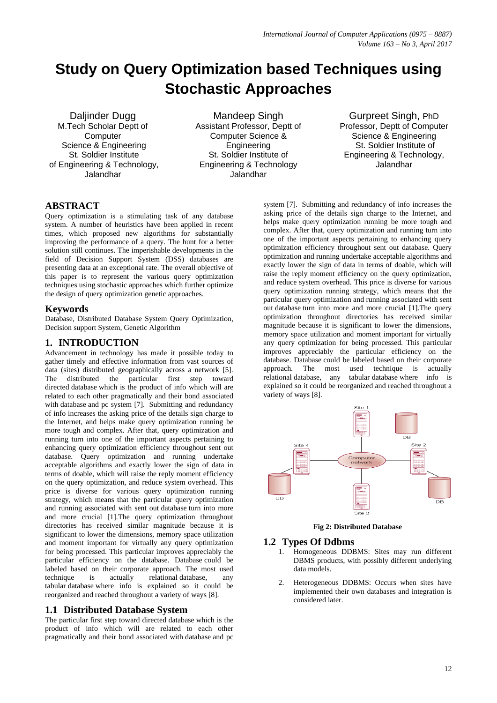# **Study on Query Optimization based Techniques using Stochastic Approaches**

Daliinder Dugg M.Tech Scholar Deptt of **Computer** Science & Engineering St. Soldier Institute of Engineering & Technology, Jalandhar

Mandeep Singh Assistant Professor, Deptt of Computer Science & **Engineering** St. Soldier Institute of Engineering & Technology Jalandhar

Gurpreet Singh, PhD Professor, Deptt of Computer Science & Engineering St. Soldier Institute of Engineering & Technology, Jalandhar

## **ABSTRACT**

Query optimization is a stimulating task of any database system. A number of heuristics have been applied in recent times, which proposed new algorithms for substantially improving the performance of a query. The hunt for a better solution still continues. The imperishable developments in the field of Decision Support System (DSS) databases are presenting data at an exceptional rate. The overall objective of this paper is to represent the various query optimization techniques using stochastic approaches which further optimize the design of query optimization genetic approaches.

#### **Keywords**

Database, Distributed Database System Query Optimization, Decision support System, Genetic Algorithm

## **1. INTRODUCTION**

Advancement in technology has made it possible today to gather timely and effective information from vast sources of data (sites) distributed geographically across a network [5]. The distributed the particular first step toward directed database which is the product of info which will are related to each other pragmatically and their bond associated with database and pc system [7]. Submitting and redundancy of info increases the asking price of the details sign charge to the Internet, and helps make query optimization running be more tough and complex. After that, query optimization and running turn into one of the important aspects pertaining to enhancing query optimization efficiency throughout sent out database. Query optimization and running undertake acceptable algorithms and exactly lower the sign of data in terms of doable, which will raise the reply moment efficiency on the query optimization, and reduce system overhead. This price is diverse for various query optimization running strategy, which means that the particular query optimization and running associated with sent out database turn into more and more crucial [1].The query optimization throughout directories has received similar magnitude because it is significant to lower the dimensions, memory space utilization and moment important for virtually any query optimization for being processed. This particular improves appreciably the particular efficiency on the database. Database could be labeled based on their corporate approach. The most used<br>technique is actually relational database. any technique is actually relational database, any tabular database where info is explained so it could be reorganized and reached throughout a variety of ways [8].

## **1.1 Distributed Database System**

The particular first step toward directed database which is the product of info which will are related to each other pragmatically and their bond associated with database and pc

system [7]. Submitting and redundancy of info increases the asking price of the details sign charge to the Internet, and helps make query optimization running be more tough and complex. After that, query optimization and running turn into one of the important aspects pertaining to enhancing query optimization efficiency throughout sent out database. Query optimization and running undertake acceptable algorithms and exactly lower the sign of data in terms of doable, which will raise the reply moment efficiency on the query optimization, and reduce system overhead. This price is diverse for various query optimization running strategy, which means that the particular query optimization and running associated with sent out database turn into more and more crucial [1].The query optimization throughout directories has received similar magnitude because it is significant to lower the dimensions, memory space utilization and moment important for virtually any query optimization for being processed. This particular improves appreciably the particular efficiency on the database. Database could be labeled based on their corporate approach. The most used technique is actually relational database, any tabular database where info is explained so it could be reorganized and reached throughout a variety of ways [8].



**Fig 2: Distributed Database**

#### **1.2 Types Of Ddbms**

- 1. Homogeneous DDBMS: Sites may run different DBMS products, with possibly different underlying data models.
- 2. Heterogeneous DDBMS: Occurs when sites have implemented their own databases and integration is considered later.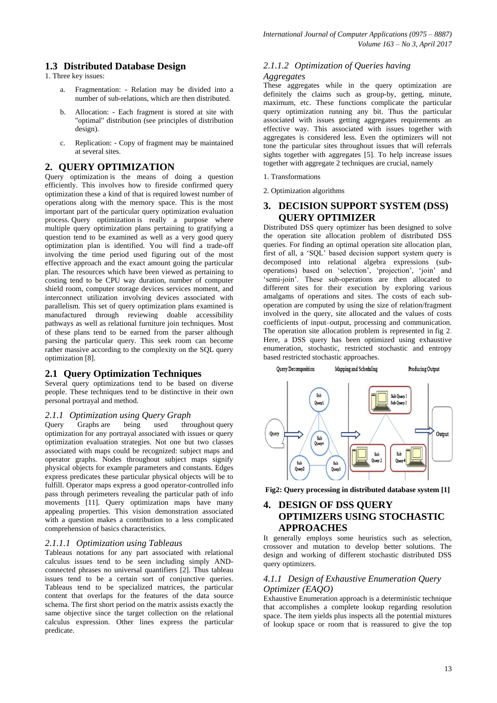## **1.3 Distributed Database Design**

1. Three key issues:

- a. Fragmentation: Relation may be divided into a number of sub-relations, which are then distributed.
- b. Allocation: Each fragment is stored at site with "optimal" distribution (see principles of distribution design).
- c. Replication: Copy of fragment may be maintained at several sites.

## **2. QUERY OPTIMIZATION**

Query optimization is the means of doing a question efficiently. This involves how to fireside confirmed query optimization these a kind of that is required lowest number of operations along with the memory space. This is the most important part of the particular query optimization evaluation process. Query optimization is really a purpose where multiple query optimization plans pertaining to gratifying a question tend to be examined as well as a very good query optimization plan is identified. You will find a trade-off involving the time period used figuring out of the most effective approach and the exact amount going the particular plan. The resources which have been viewed as pertaining to costing tend to be CPU way duration, number of computer shield room, computer storage devices services moment, and interconnect utilization involving devices associated with parallelism. This set of query optimization plans examined is manufactured through reviewing doable accessibility pathways as well as relational furniture join techniques. Most of these plans tend to be earned from the parser although parsing the particular query. This seek room can become rather massive according to the complexity on the SQL query optimization [8].

## **2.1 Query Optimization Techniques**

Several query optimizations tend to be based on diverse people. These techniques tend to be distinctive in their own personal portrayal and method.

# *2.1.1 Optimization using Query Graph*

Query Graphs are being used throughout query optimization for any portrayal associated with issues or query optimization evaluation strategies. Not one but two classes associated with maps could be recognized: subject maps and operator graphs. Nodes throughout subject maps signify physical objects for example parameters and constants. Edges express predicates these particular physical objects will be to fulfill. Operator maps express a good operator-controlled info pass through perimeters revealing the particular path of info movements [11]. Query optimization maps have many appealing properties. This vision demonstration associated with a question makes a contribution to a less complicated comprehension of basics characteristics.

#### *2.1.1.1 Optimization using Tableaus*

Tableaus notations for any part associated with relational calculus issues tend to be seen including simply ANDconnected phrases no universal quantifiers [2]. Thus tableau issues tend to be a certain sort of conjunctive queries. Tableaus tend to be specialized matrices, the particular content that overlaps for the features of the data source schema. The first short period on the matrix assists exactly the same objective since the target collection on the relational calculus expression. Other lines express the particular predicate.

# *2.1.1.2 Optimization of Queries having*

#### *Aggregates*

These aggregates while in the query optimization are definitely the claims such as group-by, getting, minute, maximum, etc. These functions complicate the particular query optimization running any bit. Thus the particular associated with issues getting aggregates requirements an effective way. This associated with issues together with aggregates is considered less. Even the optimizers will not tone the particular sites throughout issues that will referrals sights together with aggregates [5]. To help increase issues together with aggregate 2 techniques are crucial, namely

- 1. Transformations
- 2. Optimization algorithms

## **3. DECISION SUPPORT SYSTEM (DSS) QUERY OPTIMIZER**

Distributed DSS query optimizer has been designed to solve the operation site allocation problem of distributed DSS queries. For finding an optimal operation site allocation plan, first of all, a 'SQL' based decision support system query is decomposed into relational algebra expressions (suboperations) based on 'selection', 'projection', 'join' and 'semi-join'. These sub-operations are then allocated to different sites for their execution by exploring various amalgams of operations and sites. The costs of each suboperation are computed by using the size of relation/fragment involved in the query, site allocated and the values of costs coefficients of input–output, processing and communication. The operation site allocation problem is represented in fig 2. Here, a DSS query has been optimized using exhaustive enumeration, stochastic, restricted stochastic and entropy based restricted stochastic approaches.



**Fig2: Query processing in distributed database system [1]**

# **4. DESIGN OF DSS QUERY OPTIMIZERS USING STOCHASTIC APPROACHES**

It generally employs some heuristics such as selection, crossover and mutation to develop better solutions. The design and working of different stochastic distributed DSS query optimizers.

#### *4.1.1 Design of Exhaustive Enumeration Query Optimizer (EAQO)*

Exhaustive Enumeration approach is a deterministic technique that accomplishes a complete lookup regarding resolution space. The item yields plus inspects all the potential mixtures of lookup space or room that is reassured to give the top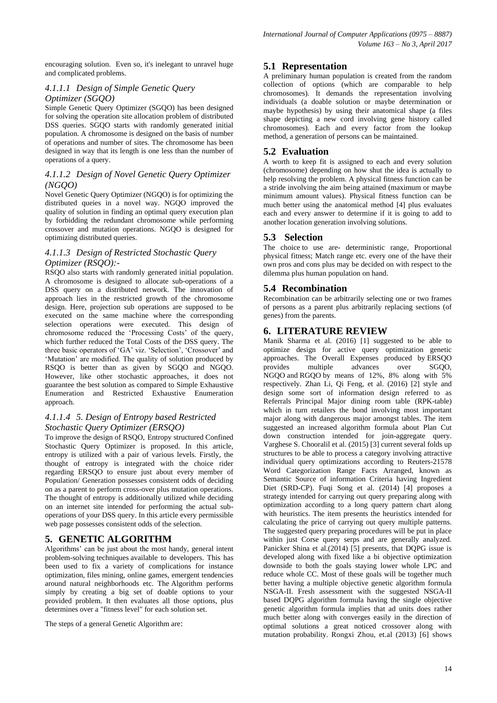encouraging solution. Even so, it's inelegant to unravel huge and complicated problems.

#### *4.1.1.1 Design of Simple Genetic Query Optimizer (SGQO)*

Simple Genetic Query Optimizer (SGQO) has been designed for solving the operation site allocation problem of distributed DSS queries. SGQO starts with randomly generated initial population. A chromosome is designed on the basis of number of operations and number of sites. The chromosome has been designed in way that its length is one less than the number of operations of a query.

## *4.1.1.2 Design of Novel Genetic Query Optimizer (NGQO)*

Novel Genetic Query Optimizer (NGQO) is for optimizing the distributed queies in a novel way. NGQO improved the quality of solution in finding an optimal query execution plan by forbidding the redundant chromosome while performing crossover and mutation operations. NGQO is designed for optimizing distributed queries.

## *4.1.1.3 Design of Restricted Stochastic Query Optimizer (RSQO):-*

RSQO also starts with randomly generated initial population. A chromosome is designed to allocate sub-operations of a DSS query on a distributed network. The innovation of approach lies in the restricted growth of the chromosome design. Here, projection sub operations are supposed to be executed on the same machine where the corresponding selection operations were executed. This design of chromosome reduced the 'Processing Costs' of the query, which further reduced the Total Costs of the DSS query. The three basic operators of 'GA' viz. 'Selection', 'Crossover' and 'Mutation' are modified. The quality of solution produced by RSQO is better than as given by SGQO and NGQO. However, like other stochastic approaches, it does not guarantee the best solution as compared to Simple Exhaustive Enumeration and Restricted Exhaustive Enumeration approach.

## *4.1.1.4 5. Design of Entropy based Restricted Stochastic Query Optimizer (ERSQO)*

To improve the design of RSQO, Entropy structured Confined Stochastic Query Optimizer is proposed. In this article, entropy is utilized with a pair of various levels. Firstly, the thought of entropy is integrated with the choice rider regarding ERSQO to ensure just about every member of Population/ Generation possesses consistent odds of deciding on as a parent to perform cross-over plus mutation operations. The thought of entropy is additionally utilized while deciding on an internet site intended for performing the actual suboperations of your DSS query. In this article every permissible web page possesses consistent odds of the selection.

# **5. GENETIC ALGORITHM**

Algorithms' can be just about the most handy, general intent problem-solving techniques available to developers. This has been used to fix a variety of complications for instance optimization, files mining, online games, emergent tendencies around natural neighborhoods etc. The Algorithm performs simply by creating a big set of doable options to your provided problem. It then evaluates all those options, plus determines over a "fitness level" for each solution set.

The steps of a general Genetic Algorithm are:

# **5.1 Representation**

A preliminary human population is created from the random collection of options (which are comparable to help chromosomes). It demands the representation involving individuals (a doable solution or maybe determination or maybe hypothesis) by using their anatomical shape (a files shape depicting a new cord involving gene history called chromosomes). Each and every factor from the lookup method, a generation of persons can be maintained.

# **5.2 Evaluation**

A worth to keep fit is assigned to each and every solution (chromosome) depending on how shut the idea is actually to help resolving the problem. A physical fitness function can be a stride involving the aim being attained (maximum or maybe minimum amount values). Physical fitness function can be much better using the anatomical method [4] plus evaluates each and every answer to determine if it is going to add to another location generation involving solutions.

# **5.3 Selection**

The choice to use are- deterministic range, Proportional physical fitness; Match range etc. every one of the have their own pros and cons plus may be decided on with respect to the dilemma plus human population on hand.

# **5.4 Recombination**

Recombination can be arbitrarily selecting one or two frames of persons as a parent plus arbitrarily replacing sections (of genes) from the parents.

# **6. LITERATURE REVIEW**

Manik Sharma et al. (2016) [1] suggested to be able to optimize design for active query optimization genetic approaches. The Overall Expenses produced by ERSQO provides multiple advances over SGQO, NGQO and RGQO by means of 12%, 8% along with 5% respectively. Zhan Li, Qi Feng, et al. (2016) [2] style and design some sort of information design referred to as Referrals Principal Major dining room table (RPK-table) which in turn retailers the bond involving most important major along with dangerous major amongst tables. The item suggested an increased algorithm formula about Plan Cut down construction intended for join-aggregate query. Varghese S. Chooralil et al. (2015) [3] current several folds up structures to be able to process a category involving attractive individual query optimizations according to Reuters-21578 Word Categorization Range Facts Arranged, known as Semantic Source of information Criteria having Ingredient Diet (SRD-CP). Fuqi Song et al. (2014) [4] proposes a strategy intended for carrying out query preparing along with optimization according to a long query pattern chart along with heuristics. The item presents the heuristics intended for calculating the price of carrying out query multiple patterns. The suggested query preparing procedures will be put in place within just Corse query serps and are generally analyzed. Panicker Shina et al.(2014) [5] presents, that DQPG issue is developed along with fixed like a bi objective optimization downside to both the goals staying lower whole LPC and reduce whole CC. Most of these goals will be together much better having a multiple objective genetic algorithm formula NSGA-II. Fresh assessment with the suggested NSGA-II based DQPG algorithm formula having the single objective genetic algorithm formula implies that ad units does rather much better along with converges easily in the direction of optimal solutions a great noticed crossover along with mutation probability. Rongxi Zhou, et.al (2013) [6] shows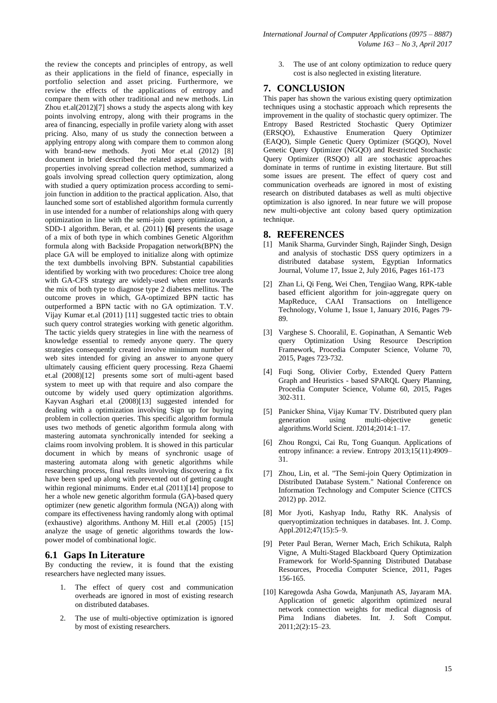the review the concepts and principles of entropy, as well as their applications in the field of finance, especially in portfolio selection and asset pricing. Furthermore, we review the effects of the applications of entropy and compare them with other traditional and new methods. Lin Zhou et.al(2012)[7] shows a study the aspects along with key points involving entropy, along with their programs in the area of financing, especially in profile variety along with asset pricing. Also, many of us study the connection between a applying entropy along with compare them to common along with brand-new methods. Jyoti Mor et.al (2012) [8] document in brief described the related aspects along with properties involving spread collection method, summarized a goals involving spread collection query optimization, along with studied a query optimization process according to semijoin function in addition to the practical application. Also, that launched some sort of established algorithm formula currently in use intended for a number of relationships along with query optimization in line with the semi-join query optimization, a SDD-1 algorithm. Beran, et al. (2011) **[6]** presents the usage of a mix of both type in which combines Genetic Algorithm formula along with Backside Propagation network(BPN) the place GA will be employed to initialize along with optimize the text dumbbells involving BPN. Substantial capabilities identified by working with two procedures: Choice tree along with GA-CFS strategy are widely-used when enter towards the mix of both type to diagnose type 2 diabetes mellitus. The outcome proves in which, GA-optimized BPN tactic has outperformed a BPN tactic with no GA optimization. T.V. Vijay Kumar et.al (2011) [11] suggested tactic tries to obtain such query control strategies working with genetic algorithm. The tactic yields query strategies in line with the nearness of knowledge essential to remedy anyone query. The query strategies consequently created involve minimum number of web sites intended for giving an answer to anyone query ultimately causing efficient query processing. Reza Ghaemi et.al (2008)[12] presents some sort of multi-agent based system to meet up with that require and also compare the outcome by widely used query optimization algorithms. Kayvan Asghari et.al (2008)[13] suggested intended for dealing with a optimization involving Sign up for buying problem in collection queries. This specific algorithm formula uses two methods of genetic algorithm formula along with mastering automata synchronically intended for seeking a claims room involving problem. It is showed in this particular document in which by means of synchronic usage of mastering automata along with genetic algorithms while researching process, final results involving discovering a fix have been sped up along with prevented out of getting caught within regional minimums. Ender et.al  $(2011)[14]$  propose to her a whole new genetic algorithm formula (GA)-based query optimizer (new genetic algorithm formula (NGA)) along with compare its effectiveness having randomly along with optimal (exhaustive) algorithms. Anthony M. Hill et.al (2005) [15] analyze the usage of genetic algorithms towards the lowpower model of combinational logic.

#### **6.1 Gaps In Literature**

By conducting the review, it is found that the existing researchers have neglected many issues.

- 1. The effect of query cost and communication overheads are ignored in most of existing research on distributed databases.
- 2. The use of multi-objective optimization is ignored by most of existing researchers.

3. The use of ant colony optimization to reduce query cost is also neglected in existing literature.

## **7. CONCLUSION**

This paper has shown the various existing query optimization techniques using a stochastic approach which represents the improvement in the quality of stochastic query optimizer. The Entropy Based Restricted Stochastic Query Optimizer (ERSQO), Exhaustive Enumeration Query Optimizer (EAQO), Simple Genetic Query Optimizer (SGQO), Novel Genetic Query Optimizer (NGQO) and Restricted Stochastic Query Optimizer (RSQO) all are stochastic approaches dominate in terms of runtime in existing litertaure. But still some issues are present. The effect of query cost and communication overheads are ignored in most of existing research on distributed databases as well as multi objective optimization is also ignored. In near future we will propose new multi-objective ant colony based query optimization technique.

#### **8. REFERENCES**

- [1] Manik Sharma, Gurvinder Singh, Rajinder Singh, Design and analysis of stochastic DSS query optimizers in a distributed database system, Egyptian Informatics Journal, Volume 17, Issue 2, July 2016, Pages 161-173
- [2] Zhan Li, Qi Feng, Wei Chen, Tengjiao Wang, RPK-table based efficient algorithm for join-aggregate query on MapReduce, CAAI Transactions on Intelligence Technology, Volume 1, Issue 1, January 2016, Pages 79- 89.
- [3] Varghese S. Chooralil, E. Gopinathan, A Semantic Web query Optimization Using Resource Description Framework, Procedia Computer Science, Volume 70, 2015, Pages 723-732.
- [4] Fuqi Song, Olivier Corby, Extended Query Pattern Graph and Heuristics - based SPARQL Query Planning, Procedia Computer Science, Volume 60, 2015, Pages 302-311.
- [5] Panicker Shina, Vijay Kumar TV. Distributed query plan generation using multi-objective genetic algorithms.World Scient. J2014;2014:1–17.
- [6] Zhou Rongxi, Cai Ru, Tong Guanqun. Applications of entropy infinance: a review. Entropy 2013;15(11):4909– 31.
- [7] Zhou, Lin, et al. "The Semi-join Query Optimization in Distributed Database System." National Conference on Information Technology and Computer Science (CITCS 2012) pp. 2012.
- [8] Mor Jyoti, Kashyap Indu, Rathy RK. Analysis of queryoptimization techniques in databases. Int. J. Comp. Appl.2012;47(15):5–9.
- [9] Peter Paul Beran, Werner Mach, Erich Schikuta, Ralph Vigne, A Multi-Staged Blackboard Query Optimization Framework for World-Spanning Distributed Database Resources, Procedia Computer Science, 2011, Pages 156-165.
- [10] Karegowda Asha Gowda, Manjunath AS, Jayaram MA. Application of genetic algorithm optimized neural network connection weights for medical diagnosis of Pima Indians diabetes. Int. J. Soft Comput. 2011;2(2):15–23.